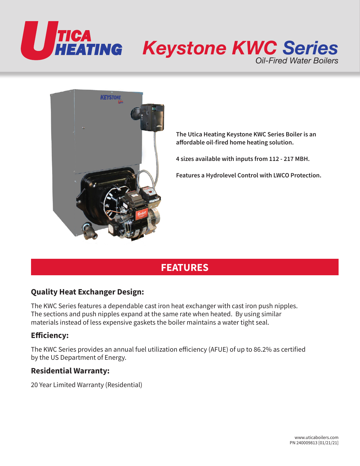



**The Utica Heating Keystone KWC Series Boiler is an affordable oil-fired home heating solution.**

**4 sizes available with inputs from 112 - 217 MBH.**

**Features a Hydrolevel Control with LWCO Protection.**

## **FEATURES**

## **Quality Heat Exchanger Design:**

The KWC Series features a dependable cast iron heat exchanger with cast iron push nipples. The sections and push nipples expand at the same rate when heated. By using similar materials instead of less expensive gaskets the boiler maintains a water tight seal.

## **Efficiency:**

The KWC Series provides an annual fuel utilization efficiency (AFUE) of up to 86.2% as certified by the US Department of Energy.

### **Residential Warranty:**

20 Year Limited Warranty (Residential)